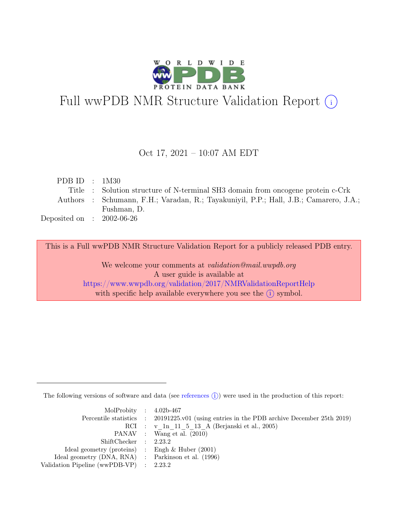

# Full wwPDB NMR Structure Validation Report (i)

### Oct 17, 2021 – 10:07 AM EDT

| PDB ID : $1M30$             |                                                                                       |
|-----------------------------|---------------------------------------------------------------------------------------|
|                             | Title : Solution structure of N-terminal SH3 domain from oncogene protein c-Crk       |
|                             | Authors : Schumann, F.H.; Varadan, R.; Tayakuniyil, P.P.; Hall, J.B.; Camarero, J.A.; |
|                             | Fushman, D.                                                                           |
| Deposited on : $2002-06-26$ |                                                                                       |

This is a Full wwPDB NMR Structure Validation Report for a publicly released PDB entry.

We welcome your comments at *validation@mail.wwpdb.org* A user guide is available at <https://www.wwpdb.org/validation/2017/NMRValidationReportHelp> with specific help available everywhere you see the  $(i)$  symbol.

The following versions of software and data (see [references](https://www.wwpdb.org/validation/2017/NMRValidationReportHelp#references)  $\hat{I}$ ) were used in the production of this report:

| MolProbity : $4.02b-467$                            |                                                                                            |
|-----------------------------------------------------|--------------------------------------------------------------------------------------------|
|                                                     | Percentile statistics : 20191225.v01 (using entries in the PDB archive December 25th 2019) |
|                                                     | RCI : v 1n 11 5 13 A (Berjanski et al., 2005)                                              |
|                                                     | PANAV : Wang et al. (2010)                                                                 |
| ShiftChecker : 2.23.2                               |                                                                                            |
| Ideal geometry (proteins) : Engh $\&$ Huber (2001)  |                                                                                            |
| Ideal geometry (DNA, RNA) : Parkinson et al. (1996) |                                                                                            |
| Validation Pipeline (wwPDB-VP) : $2.23.2$           |                                                                                            |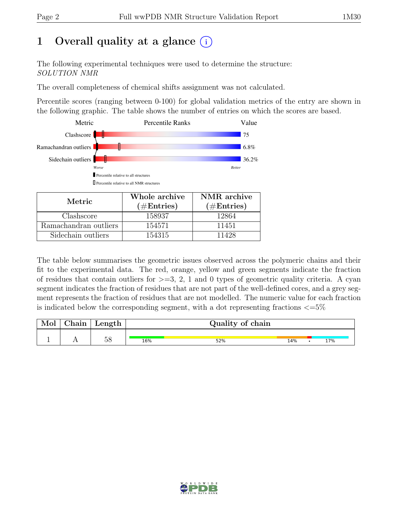# 1 Overall quality at a glance  $(i)$

The following experimental techniques were used to determine the structure: SOLUTION NMR

The overall completeness of chemical shifts assignment was not calculated.

Percentile scores (ranging between 0-100) for global validation metrics of the entry are shown in the following graphic. The table shows the number of entries on which the scores are based.



| Metric.               | Whole archive<br>$(\#Entries)$ | NMR archive<br>$(\#Entries)$ |
|-----------------------|--------------------------------|------------------------------|
| Clashscore            | 158937                         | 12864                        |
| Ramachandran outliers | 154571                         | 11451                        |
| Sidechain outliers    | 154315                         | 11428                        |

The table below summarises the geometric issues observed across the polymeric chains and their fit to the experimental data. The red, orange, yellow and green segments indicate the fraction of residues that contain outliers for  $>=$  3, 2, 1 and 0 types of geometric quality criteria. A cyan segment indicates the fraction of residues that are not part of the well-defined cores, and a grey segment represents the fraction of residues that are not modelled. The numeric value for each fraction is indicated below the corresponding segment, with a dot representing fractions  $\langle=5\%$ 

| Mol | ${\rm Chain}$ | Length            |     | Quality of chain |     |     |
|-----|---------------|-------------------|-----|------------------|-----|-----|
|     |               | $E_{\rm O}$<br>Эc | 16% | 52%              | 14% | 17% |

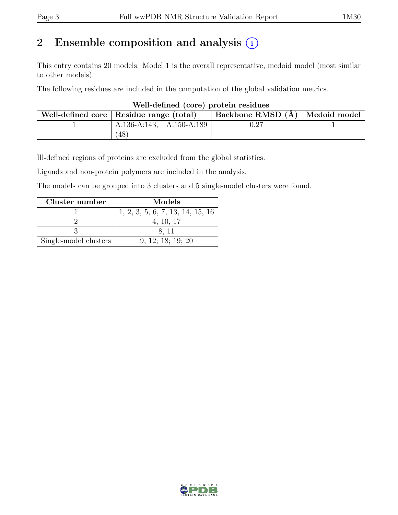# 2 Ensemble composition and analysis  $(i)$

This entry contains 20 models. Model 1 is the overall representative, medoid model (most similar to other models).

The following residues are included in the computation of the global validation metrics.

| Well-defined (core) protein residues |                                           |                                                      |  |  |  |  |  |  |
|--------------------------------------|-------------------------------------------|------------------------------------------------------|--|--|--|--|--|--|
|                                      | Well-defined core   Residue range (total) | $\perp$ Backbone RMSD (Å) $\mid$ Medoid model $\mid$ |  |  |  |  |  |  |
|                                      | A:136-A:143, A:150-A:189                  | 0.27                                                 |  |  |  |  |  |  |
|                                      | $^{\prime}48$                             |                                                      |  |  |  |  |  |  |

Ill-defined regions of proteins are excluded from the global statistics.

Ligands and non-protein polymers are included in the analysis.

The models can be grouped into 3 clusters and 5 single-model clusters were found.

| Cluster number        | Models                           |
|-----------------------|----------------------------------|
|                       | 1, 2, 3, 5, 6, 7, 13, 14, 15, 16 |
|                       | 4, 10, 17                        |
|                       | 8.11                             |
| Single-model clusters | 9: 12: 18: 19: 20                |

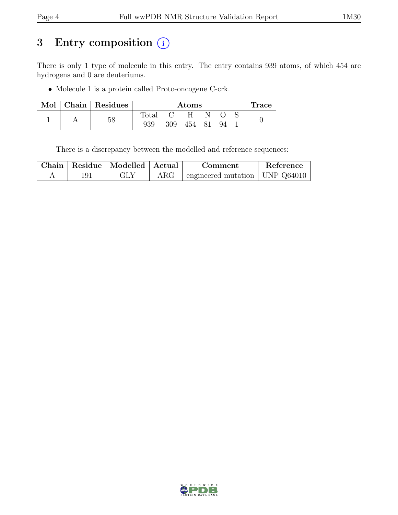# 3 Entry composition  $(i)$

There is only 1 type of molecule in this entry. The entry contains 939 atoms, of which 454 are hydrogens and 0 are deuteriums.

• Molecule 1 is a protein called Proto-oncogene C-crk.

| Mol | Chain   Residues |                | <b>Atoms</b> |        |  |     |  | Trace |
|-----|------------------|----------------|--------------|--------|--|-----|--|-------|
|     |                  | $_{\rm Total}$ |              | H      |  |     |  |       |
|     | 58               | 939            | 309          | 454 81 |  | -94 |  |       |

There is a discrepancy between the modelled and reference sequences:

|  | Chain   Residue   Modelled   Actual |            | Comment                          | Reference |
|--|-------------------------------------|------------|----------------------------------|-----------|
|  | GLY                                 | $\rm{ARG}$ | engineered mutation   UNP Q64010 |           |

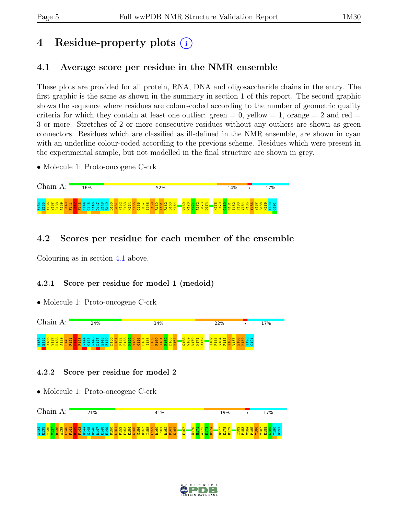# 4 Residue-property plots (i)

# <span id="page-4-0"></span>4.1 Average score per residue in the NMR ensemble

These plots are provided for all protein, RNA, DNA and oligosaccharide chains in the entry. The first graphic is the same as shown in the summary in section 1 of this report. The second graphic shows the sequence where residues are colour-coded according to the number of geometric quality criteria for which they contain at least one outlier:  $green = 0$ ,  $yellow = 1$ ,  $orange = 2$  and  $red =$ 3 or more. Stretches of 2 or more consecutive residues without any outliers are shown as green connectors. Residues which are classified as ill-defined in the NMR ensemble, are shown in cyan with an underline colour-coded according to the previous scheme. Residues which were present in the experimental sample, but not modelled in the final structure are shown in grey.

• Molecule 1: Proto-oncogene C-crk



## 4.2 Scores per residue for each member of the ensemble

Colouring as in section [4.1](#page-4-0) above.

#### 4.2.1 Score per residue for model 1 (medoid)

• Molecule 1: Proto-oncogene C-crk



#### 4.2.2 Score per residue for model 2



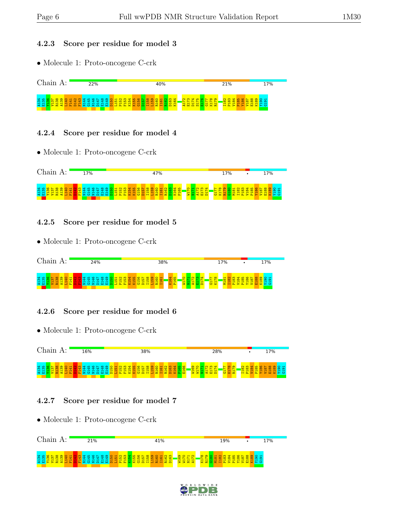#### 4.2.3 Score per residue for model 3

• Molecule 1: Proto-oncogene C-crk



#### 4.2.4 Score per residue for model 4

• Molecule 1: Proto-oncogene C-crk



### 4.2.5 Score per residue for model 5

• Molecule 1: Proto-oncogene C-crk



## 4.2.6 Score per residue for model 6

• Molecule 1: Proto-oncogene C-crk



## 4.2.7 Score per residue for model 7



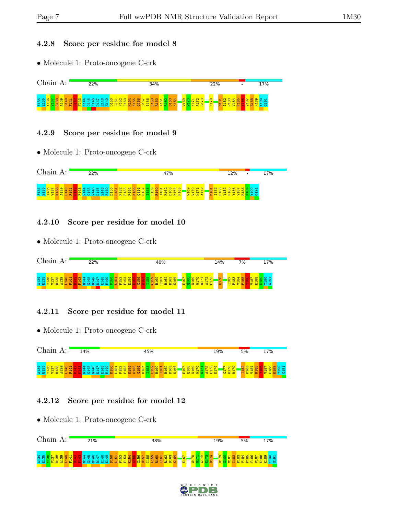#### 4.2.8 Score per residue for model 8

• Molecule 1: Proto-oncogene C-crk



#### 4.2.9 Score per residue for model 9

• Molecule 1: Proto-oncogene C-crk



#### 4.2.10 Score per residue for model 10

• Molecule 1: Proto-oncogene C-crk



#### 4.2.11 Score per residue for model 11

• Molecule 1: Proto-oncogene C-crk



## 4.2.12 Score per residue for model 12



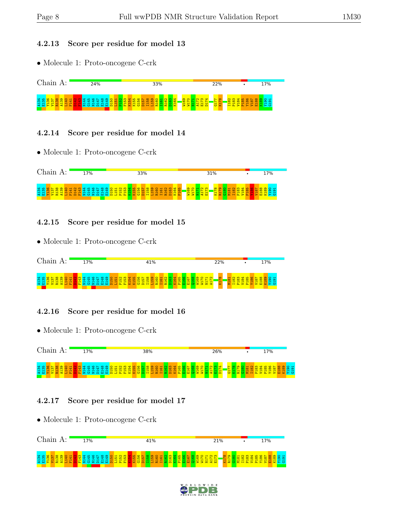#### 4.2.13 Score per residue for model 13

• Molecule 1: Proto-oncogene C-crk



#### 4.2.14 Score per residue for model 14

• Molecule 1: Proto-oncogene C-crk



#### 4.2.15 Score per residue for model 15

• Molecule 1: Proto-oncogene C-crk



#### 4.2.16 Score per residue for model 16

• Molecule 1: Proto-oncogene C-crk



#### 4.2.17 Score per residue for model 17



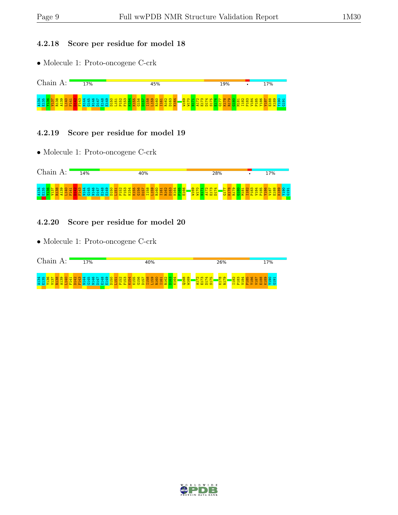#### 4.2.18 Score per residue for model 18

• Molecule 1: Proto-oncogene C-crk



#### 4.2.19 Score per residue for model 19

• Molecule 1: Proto-oncogene C-crk



#### 4.2.20 Score per residue for model 20



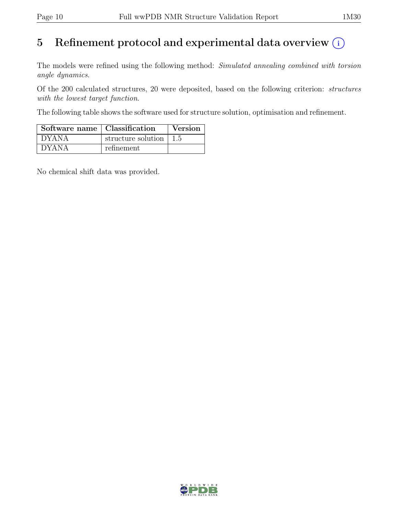# 5 Refinement protocol and experimental data overview  $\odot$

The models were refined using the following method: Simulated annealing combined with torsion angle dynamics.

Of the 200 calculated structures, 20 were deposited, based on the following criterion: structures with the lowest target function.

The following table shows the software used for structure solution, optimisation and refinement.

| Software name   Classification |                                        | <b>Version</b> |
|--------------------------------|----------------------------------------|----------------|
| <sup>†</sup> DYANA             | structure solution $\vert 1.5 \rangle$ |                |
| ` DYANA                        | refinement                             |                |

No chemical shift data was provided.

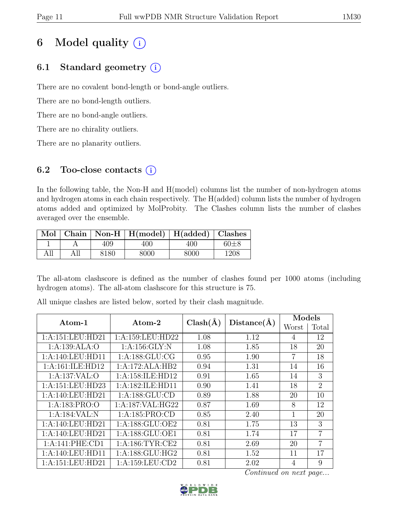# 6 Model quality  $(i)$

# 6.1 Standard geometry  $(i)$

There are no covalent bond-length or bond-angle outliers.

There are no bond-length outliers.

There are no bond-angle outliers.

There are no chirality outliers.

There are no planarity outliers.

# 6.2 Too-close contacts  $(i)$

In the following table, the Non-H and H(model) columns list the number of non-hydrogen atoms and hydrogen atoms in each chain respectively. The H(added) column lists the number of hydrogen atoms added and optimized by MolProbity. The Clashes column lists the number of clashes averaged over the ensemble.

|     |     |      | $\mid$ Mol $\mid$ Chain $\mid$ Non-H $\mid$ H(model) $\mid$ H(added) $\mid$ Clashes |      |          |
|-----|-----|------|-------------------------------------------------------------------------------------|------|----------|
|     |     | 409. | 400                                                                                 | 400. | $60 + 8$ |
| All | All | 8180 | 8000                                                                                | 8000 | 1208     |

The all-atom clashscore is defined as the number of clashes found per 1000 atoms (including hydrogen atoms). The all-atom clashscore for this structure is 75.

| Atom-1            | Atom-2              | $Clash(\AA)$ | Distance(A) | Models |                |
|-------------------|---------------------|--------------|-------------|--------|----------------|
|                   |                     |              |             | Worst  | Total          |
| 1:A:151:LEU:HD21  | 1:A:159:LEU:HD22    | 1.08         | 1.12        | 4      | 12             |
| 1:A:139:ALA:O     | 1: A: 156: GLY: N   | 1.08         | 1.85        | 18     | 20             |
| 1:A:140:LEU:HD11  | 1: A: 188: GLU: CG  | 0.95         | 1.90        | 7      | 18             |
| 1:A:161:ILE:HD12  | 1:A:172:ALA:HB2     | 0.94         | 1.31        | 14     | 16             |
| 1:A:137:VAL:O     | 1:A:158:ILE:HD12    | 0.91         | 1.65        | 14     | 3              |
| 1:A:151:LEU:HD23  | 1:A:182:ILE:HD11    | 0.90         | 1.41        | 18     | $\overline{2}$ |
| 1:A:140:LEU:HD21  | 1:A:188:GLU:CD      | 0.89         | 1.88        | 20     | 10             |
| 1: A: 183: PRO: O | 1:A:187:VAL:HG22    | 0.87         | 1.69        | 8      | 12             |
| 1:A:184:VAL:N     | 1:A:185:PRO:CD      | 0.85         | 2.40        | 1      | 20             |
| 1:A:140:LEU:HD21  | 1:A:188:GLU:OE2     | 0.81         | 1.75        | 13     | 3              |
| 1:A:140:LEU:HD21  | 1:A:188:GLU:OE1     | 0.81         | 1.74        | 17     | $\overline{7}$ |
| 1:A:141:PHE:CD1   | 1: A:186: TYR: CE2  | 0.81         | 2.69        | 20     | 7              |
| 1:A:140:LEU:HD11  | 1: A: 188: GLU: HG2 | 0.81         | 1.52        | 11     | 17             |
| 1:A:151:LEU:HD21  | 1: A: 159: LEU: CD2 | 0.81         | 2.02        | 4      | 9              |

All unique clashes are listed below, sorted by their clash magnitude.

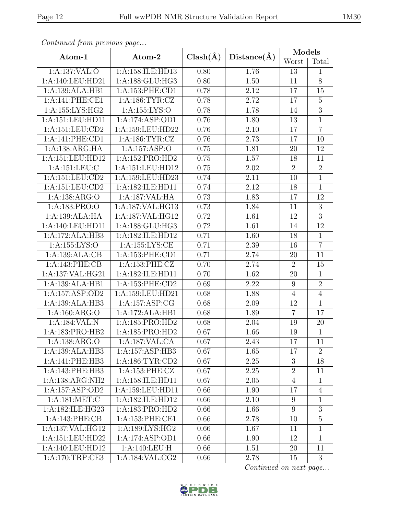|                  |                     |              |                   | Models           |                  |  |
|------------------|---------------------|--------------|-------------------|------------------|------------------|--|
| Atom-1           | Atom-2              | $Clash(\AA)$ | Distance(A)       | Worst            | Total            |  |
| 1:A:137:VAL:O    | 1:A:158:ILE:HD13    | 0.80         | 1.76              | 13               | $\mathbf{1}$     |  |
| 1:A:140:LEU:HD21 | 1: A: 188: GLU: HG3 | 0.80         | 1.50              | 11               | 8                |  |
| 1:A:139:ALA:HB1  | 1:A:153:PHE:CD1     | 0.78         | 2.12              | 17               | 15               |  |
| 1:A:141:PHE:CE1  | 1: A: 186: TYR: CZ  | 0.78         | 2.72              | 17               | $\overline{5}$   |  |
| 1:A:155:LYS:HG2  | 1:A:155:LYS:O       | 0.78         | 1.78              | 14               | $\overline{3}$   |  |
| 1:A:151:LEU:HD11 | 1:A:174:ASP:OD1     | 0.76         | 1.80              | 13               | $\mathbf{1}$     |  |
| 1:A:151:LEU:CD2  | 1:A:159:LEU:HD22    | 0.76         | 2.10              | 17               | $\overline{7}$   |  |
| 1:A:141:PHE:CD1  | 1: A: 186: TYR: CZ  | 0.76         | 2.73              | 17               | 10               |  |
| 1:A:138:ARG:HA   | 1:A:157:ASP:O       | 0.75         | 1.81              | 20               | 12               |  |
| 1:A:151:LEU:HD12 | 1:A:152:PRO:HD2     | 0.75         | 1.57              | 18               | 11               |  |
| 1:A:151:LEU:C    | 1:A:151:LEU:HD12    | 0.75         | 2.02              | $\overline{2}$   | $\overline{2}$   |  |
| 1:A:151:LEU:CD2  | 1:A:159:LEU:HD23    | 0.74         | 2.11              | $10\,$           | $\overline{1}$   |  |
| 1:A:151:LEU:CD2  | 1:A:182:ILE:HD11    | 0.74         | 2.12              | 18               | $\mathbf{1}$     |  |
| 1:A:138:ARG:O    | 1:A:187:VAL:HA      | 0.73         | 1.83              | 17               | 12               |  |
| 1:A:183:PRO:O    | 1:A:187:VAL:HG13    | 0.73         | 1.84              | 11               | $\boldsymbol{3}$ |  |
| 1:A:139:ALA:HA   | 1:A:187:VAL:HG12    | 0.72         | $\overline{1.61}$ | $12\,$           | $\overline{3}$   |  |
| 1:A:140:LEU:HD11 | 1:A:188:GLU:HG3     | 0.72         | 1.61              | 14               | 12               |  |
| 1:A:172:ALA:HB3  | 1:A:182:ILE:HD12    | 0.71         | 1.60              | 18               | $\overline{1}$   |  |
| 1:A:155:LYS:O    | 1:A:155:LYS:CE      | 0.71         | 2.39              | 16               | $\overline{7}$   |  |
| 1:A:139:ALA:CB   | 1:A:153:PHE:CD1     | 0.71         | 2.74              | $20\,$           | 11               |  |
| 1:A:143:PHE:CB   | 1:A:153:PHE:CZ      | 0.70         | 2.74              | $\overline{2}$   | 15               |  |
| 1:A:137:VAL:HG21 | 1:A:182:ILE:HD11    | 0.70         | 1.62              | 20               | $\mathbf{1}$     |  |
| 1:A:139:ALA:HB1  | 1:A:153:PHE:CD2     | 0.69         | 2.22              | $\boldsymbol{9}$ | $\overline{2}$   |  |
| 1:A:157:ASP:OD2  | 1:A:159:LEU:HD21    | 0.68         | 1.88              | $\overline{4}$   | $\overline{4}$   |  |
| 1:A:139:ALA:HB3  | 1:A:157:ASP:CG      | 0.68         | 2.09              | 12               | $\mathbf{1}$     |  |
| 1:A:160:ARG:O    | 1:A:172:ALA:HB1     | 0.68         | 1.89              | $\overline{7}$   | 17               |  |
| 1:A:184:VAL:N    | 1:A:185:PRO:HD2     | 0.68         | 2.04              | 19               | $20\,$           |  |
| 1:A:183:PRO:HB2  | 1:A:185:PRO:HD2     | 0.67         | 1.66              | 19               | $\mathbf{1}$     |  |
| 1:A:138:ARG:O    | 1:A:187:VAL:CA      | 0.67         | 2.43              | 17               | 11               |  |
| 1:A:139:ALA:HB3  | 1: A:157: ASP:HB3   | 0.67         | 1.65              | 17               | $\overline{2}$   |  |
| 1:A:141:PHE:HB3  | 1: A: 186: TYR: CD2 | $0.67\,$     | 2.25              | $\boldsymbol{3}$ | 18               |  |
| 1:A:143:PHE:HB3  | 1:A:153:PHE:CZ      | 0.67         | 2.25              | $\overline{2}$   | 11               |  |
| 1:A:138:ARG:NH2  | 1:A:158:ILE:HD11    | 0.67         | 2.05              | $\overline{4}$   | $\mathbf{1}$     |  |
| 1:A:157:ASP:OD2  | 1:A:159:LEU:HD11    | 0.66         | 1.90              | 17               | 4                |  |
| 1:A:181:MET:C    | 1:A:182:ILE:HD12    | 0.66         | 2.10              | $9\phantom{.}$   | 1                |  |
| 1:A:182:ILE:HG23 | 1:A:183:PRO:HD2     | 0.66         | 1.66              | 9                | $\boldsymbol{3}$ |  |
| 1:A:143:PHE:CB   | 1:A:153:PHE:CE1     | 0.66         | 2.78              | 10               | $\overline{5}$   |  |
| 1:A:137:VAL:HG12 | 1:A:189:LYS:HG2     | 0.66         | 1.67              | 11               | 1                |  |
| 1:A:151:LEU:HD22 | 1:A:174:ASP:OD1     | 0.66         | 1.90              | 12               | $\mathbf{1}$     |  |
| 1:A:140:LEU:HD12 | 1:A:140:LEU:H       | 0.66         | 1.51              | 20               | 11               |  |
| 1: A:170:TRP:CE3 | 1: A: 184: VAL: CG2 | 0.66         | 2.78              | 15               | 3                |  |

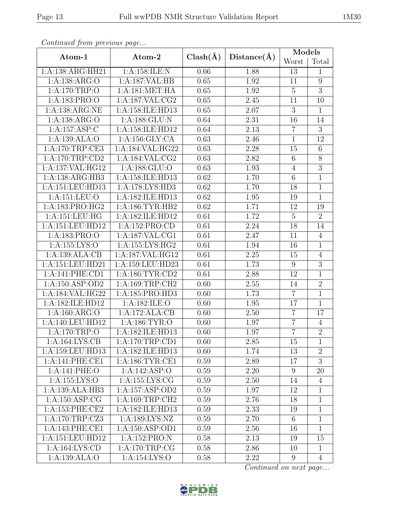| Atom-1                               | Atom-2              | $Clash(\AA)$ | Distance(A) | Models           |                |  |
|--------------------------------------|---------------------|--------------|-------------|------------------|----------------|--|
|                                      |                     |              |             | Worst            | Total          |  |
| 1:A:138:ARG:HH21                     | 1:A:158:ILE:N       | 0.66         | 1.88        | 13               | $\mathbf{1}$   |  |
| 1:A:138:ARG:O                        | 1:A:187:VAL:HB      | 0.65         | 1.92        | 11               | 9              |  |
| 1: A:170:TRP:O                       | 1: A:181: MET:HA    | 0.65         | 1.92        | $\overline{5}$   | $\overline{3}$ |  |
| 1:A:183:PRO:O                        | 1: A: 187: VAL: CG2 | 0.65         | 2.45        | 11               | 10             |  |
| 1:A:138:ARG:NE                       | 1:A:158:ILE:HD13    | 0.65         | 2.07        | $\overline{3}$   | $\mathbf{1}$   |  |
| 1:A:138:ARG:O                        | 1:A:188:GLU:N       | 0.64         | 2.31        | 16               | 14             |  |
| 1:A:157:ASP:C                        | 1:A:158:ILE:HD12    | 0.64         | 2.13        | $\overline{7}$   | $\overline{3}$ |  |
| 1:A:139:ALA:O                        | 1:A:156:GLY:CA      | 0.63         | 2.46        | $\mathbf{1}$     | 12             |  |
| 1:A:170:TRP:CE3                      | 1:A:184:VAL:HG22    | 0.63         | 2.28        | 15               | $\overline{6}$ |  |
| 1:A:170:TRP:CD2                      | 1: A:184: VAL: CG2  | 0.63         | 2.82        | 6                | $8\,$          |  |
| 1:A:137:VAL:HG12                     | 1:A:188:GLU:O       | 0.63         | 1.93        | $\overline{4}$   | $\overline{3}$ |  |
| 1:A:138:ARG:HB3                      | 1:A:158:ILE:HD13    | 0.62         | 1.70        | $\,6$            | $\mathbf{1}$   |  |
| 1:A:151:LEU:HD13                     | 1:A:178:LYS:HD3     | 0.62         | 1.70        | 18               | $\mathbf{1}$   |  |
| 1:A:151:LEU:O                        | 1:A:182:ILE:HD13    | 0.62         | 1.95        | 19               | $\mathbf{1}$   |  |
| 1:A:183:PRO:HG2                      | 1: A: 186: TYR: HB2 | 0.62         | 1.71        | 12               | 19             |  |
| 1: A: 151: LEU: HG                   | 1:A:182:ILE:HD12    |              | 1.72        | $\overline{5}$   | $\overline{2}$ |  |
| 1:A:151:LEU:HD12                     | 1:A:152:PRO:CD      |              | 2.24        | 18               | 14             |  |
| 1:A:183:PRO:O                        | 1:A:187:VAL:CG1     | 0.61         | 2.47        | 11               | $\overline{4}$ |  |
| 1:A:155:LYS:O                        | 1:A:155:LYS:HG2     |              | 1.94        | 16               | $\mathbf{1}$   |  |
| 1:A:139:ALA:CB                       | 1:A:187:VAL:HG12    |              | 2.25        | 15               | $\overline{4}$ |  |
| 1:A:151:LEU:HD21                     | 1:A:159:LEU:HD23    |              | 1.73        | $\boldsymbol{9}$ | $\overline{3}$ |  |
| 1:A:141:PHE:CD1                      | 1: A: 186: TYR: CD2 | 0.61         | 2.88        | 12               | $\mathbf{1}$   |  |
| 1:A:150:ASP:OD2                      | 1:A:169:TRP:CH2     | 0.60         | 2.55        | 14               | $\overline{2}$ |  |
| $1:A:184:\overline{\text{VAL}:HG22}$ | 1:A:185:PRO:HD3     | 0.60         | 1.73        | $\overline{7}$   | $\mathbf{1}$   |  |
| 1:A:182:ILE:HD12                     | 1:A:182:ILE:O       | 0.60         | 1.95        | 17               | $\mathbf{1}$   |  |
| 1: A:160: ARG:O                      | 1:A:172:ALA:CB      | 0.60         | 2.50        | $\overline{7}$   | 17             |  |
| 1:A:140:LEU:HD12                     | 1: A: 186: TYR: O   | 0.60         | 1.97        | $\overline{7}$   | $\overline{4}$ |  |
| 1:A:170:TRP:O                        | 1:A:182:ILE:HD13    | 0.60         | 1.97        | $\overline{7}$   | $\overline{2}$ |  |
| 1:A:164:LYS:CB                       | 1: A:170:TRP:CD1    | 0.60         | 2.85        | 15               | $\mathbf{1}$   |  |
| 1:A:159:LEU:HD13                     | 1:A:182:ILE:HD13    | 0.60         | 1.74        | 13               | $\overline{2}$ |  |
| 1:A:141:PHE:CE1                      | 1: A:186: TYR: CE1  | 0.59         | 2.89        | 17               | 3              |  |
| 1:A:141:PHE:O                        | 1:A:142:ASP:O       | 0.59         | 2.20        | 9                | 20             |  |
| 1:A:155:LYS:O                        | 1:A:155:LYS:CG      | 0.59         | 2.50        | 14               | 4              |  |
| 1:A:139:ALA:HB3                      | 1:A:157:ASP:OD2     | 0.59         | 1.97        | 12               | 1              |  |
| 1: A: 150: ASP: CG                   | 1: A:169:TRP:CH2    | 0.59         | 2.76        | 18               | 1              |  |
| 1: A: 153: PHE: CE2                  | 1:A:182:ILE:HD13    | 0.59         | 2.33        | 19               | $\mathbf{1}$   |  |
| 1:A:170:TRP:CZ3                      | 1: A: 189: LYS: NZ  | 0.59         | 2.70        | 6                | $\mathbf{1}$   |  |
| 1:A:143:PHE:CE1                      | 1: A: 150: ASP: OD1 | 0.59         | 2.56        | 16               | $\mathbf{1}$   |  |
| 1: A: 151: LEU: HD12                 | 1:A:152:PRO:N       | 0.58         | 2.13        | 19               | 15             |  |
| 1:A:164:LYS:CD                       | 1:A:170:TRP:CG      | 0.58         | 2.86        | 10               | $\mathbf{1}$   |  |
| 1:A:139:ALA:O                        | 1:A:154:LYS:O       | 0.58         | 2.22        | 9                | $\overline{4}$ |  |

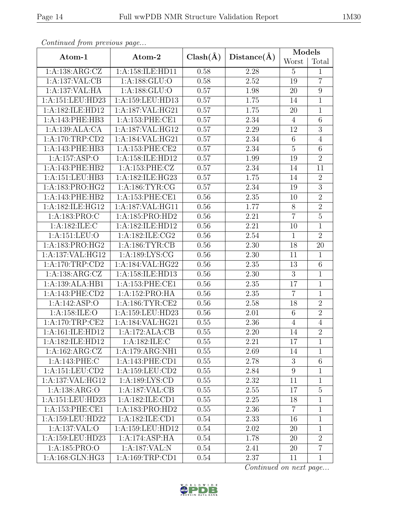|                      |                     |                   |             | Models          |                  |
|----------------------|---------------------|-------------------|-------------|-----------------|------------------|
| Atom-1               | Atom-2              | $Clash(\AA)$      | Distance(A) | Worst           | Total            |
| 1:A:138:ARG:CZ       | 1:A:158:ILE:HD11    | 0.58              | 2.28        | $\overline{5}$  | 1                |
| 1:A:137:VAL:CB       | 1:A:188:GLU:O       | 0.58              | 2.52        | 19              | $\overline{7}$   |
| 1:A:137:VAL:HA       | 1:A:188:GLU:O       | 0.57              | 1.98        | 20              | $\boldsymbol{9}$ |
| 1:A:151:LEU:HD23     | 1:A:159:LEU:HD13    | 0.57              | 1.75        | 14              | $\mathbf{1}$     |
| 1:A:182:ILE:HD12     | 1:A:187:VAL:HG21    | 0.57              | 1.75        | 20              | $\mathbf 1$      |
| 1:A:143:PHE:HB3      | 1:A:153:PHE:CE1     | 0.57              | 2.34        | $\overline{4}$  | $6\phantom{.}6$  |
| 1:A:139:ALA:CA       | 1:A:187:VAL:HG12    | 0.57              | 2.29        | 12              | $\overline{3}$   |
| 1:A:170:TRP:CD2      | 1:A:184:VAL:HG21    | 0.57              | 2.34        | $6\phantom{.}6$ | $\overline{4}$   |
| 1:A:143:PHE:HB3      | 1:A:153:PHE:CE2     | 0.57              | 2.34        | $\overline{5}$  | 6                |
| 1:A:157:ASP:O        | 1:A:158:ILE:HD12    | 0.57              | 1.99        | 19              | $\overline{2}$   |
| 1:A:143:PHE:HB2      | 1:A:153:PHE:CZ      | 0.57              | 2.34        | 14              | 11               |
| 1:A:151:LEU:HB3      | 1:A:182:ILE:HG23    | 0.57              | 1.75        | 14              | $\overline{2}$   |
| 1:A:183:PRO:HG2      | 1: A: 186: TYR: CG  | 0.57              | 2.34        | 19              | $\overline{3}$   |
| 1:A:143:PHE:HB2      | 1: A: 153: PHE: CE1 | 0.56              | 2.35        | 10              | $\overline{2}$   |
| 1:A:182:ILE:HG12     | 1: A:187: VAL:HG11  | 0.56              | 1.77        | 8               | $\overline{2}$   |
| 1:A:183:PRO:C        | 1: A: 185: PRO: HD2 | 0.56              | 2.21        | $\overline{7}$  | $\overline{5}$   |
| 1:A:182:ILE:C        | 1:A:182:ILE:HD12    | 0.56              | 2.21        | 10              | 1                |
| 1:A:151:LEU:O        | 1:A:182:ILE:CG2     | 0.56              | 2.54        | $\mathbf{1}$    | $\overline{2}$   |
| 1:A:183:PRO:HG2      | 1: A:186: TYR: CB   | 0.56              | 2.30        | 18              | 20               |
| 1:A:137:VAL:HG12     | 1: A: 189: LYS: CG  | 0.56              | 2.30        | 11              | 1                |
| 1:A:170:TRP:CD2      | 1:A:184:VAL:HG22    | 0.56              | 2.35        | 13              | $\,6$            |
| 1: A: 138: ARG: CZ   | 1:A:158:ILE:HD13    | 0.56              | 2.30        | 3               | $\mathbf{1}$     |
| 1:A:139:ALA:HB1      | 1: A: 153: PHE: CE1 | 0.56              | 2.35        | 17              | $\mathbf{1}$     |
| 1:A:143:PHE:CD2      | 1:A:152:PRO:HA      | 0.56              | 2.35        | $\overline{7}$  | $\mathbf{1}$     |
| 1:A:142:ASP:O        | 1: A:186: TYR: CE2  | 0.56              | 2.58        | 18              | $\overline{2}$   |
| 1:A:158:ILE:O        | 1:A:159:LEU:HD23    | 0.56              | 2.01        | 6               | $\overline{2}$   |
| 1:A:170:TRP:CE2      | 1:A:184:VAL:HG21    | 0.55              | 2.36        | $\overline{4}$  | $\overline{4}$   |
| 1:A:161:ILE:HD12     | 1:A:172:ALA:CB      | $\overline{0.55}$ | $2.20\,$    | $\overline{14}$ | $\overline{2}$   |
| 1:A:182:ILE:HD12     | 1: A: 182: ILE:C    | 0.55              | 2.21        | 17              | 1                |
| 1:A:162:ARG:CZ       | 1:A:179:ARG:NH1     | 0.55              | 2.69        | 14              | 1                |
| 1:A:143:PHE:C        | 1:A:143:PHE:CD1     | 0.55              | 2.78        | 3               | $\,$ 6 $\,$      |
| 1: A: 151: LEU: CD2  | 1:A:159:LEU:CD2     | 0.55              | 2.84        | 9               | $\mathbf{1}$     |
| 1:A:137:VAL:HG12     | 1:A:189:LYS:CD      | 0.55              | 2.32        | 11              | $\mathbf 1$      |
| 1: A: 138: ARG: O    | 1:A:187:VAL:CB      | 0.55              | 2.55        | 17              | $\overline{5}$   |
| 1:A:151:LEU:HD23     | 1:A:182:ILE:CD1     | 0.55              | 2.25        | 18              | $\mathbf 1$      |
| 1: A: 153: PHE: CE1  | 1:A:183:PRO:HD2     | 0.55              | 2.36        | $\overline{7}$  | 1                |
| 1: A: 159: LEU: HD22 | 1:A:182:ILE:CD1     | 0.54              | 2.33        | 16              | $\mathbf{1}$     |
| 1:A:137:VAL:O        | 1:A:159:LEU:HD12    | 0.54              | 2.02        | 20              | 1                |
| 1:A:159:LEU:HD23     | 1:A:174:ASP:HA      | 0.54              | 1.78        | 20              | $\overline{2}$   |
| 1:A:185:PRO:O        | 1:A:187:VAL:N       | 0.54              | 2.41        | 20              | $\overline{7}$   |
| 1: A:168: GLN: HG3   | 1:A:169:TRP:CD1     | $0.54\,$          | 2.37        | 11              | $\mathbf{1}$     |

 $Con$ 

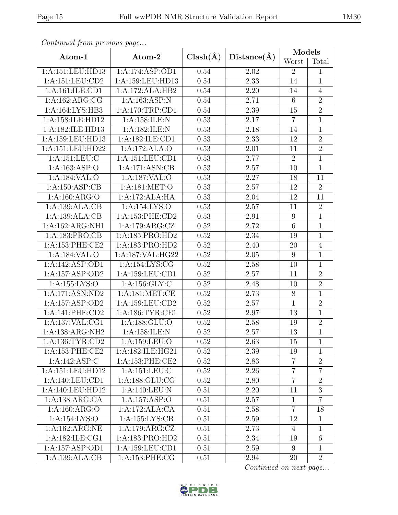| $\frac{1}{2}$       |                            |              |             | Models           |                |
|---------------------|----------------------------|--------------|-------------|------------------|----------------|
| Atom-1              | Atom-2                     | $Clash(\AA)$ | Distance(A) | Worst            | Total          |
| 1:A:151:LEU:HD13    | 1:A:174:ASP:OD1            | 0.54         | 2.02        | $\overline{2}$   | $\mathbf{1}$   |
| 1:A:151:LEU:CD2     | 1:A:159:LEU:HD13           | 0.54         | 2.33        | 14               | $\mathbf{1}$   |
| 1:A:161:ILE:CD1     | 1:A:172:ALA:HB2            | 0.54         | $2.20\,$    | 14               | $\overline{4}$ |
| 1: A: 162: ARG: CG  | 1:A:163:ASP:N              | 0.54         | 2.71        | $\,6\,$          | $\overline{2}$ |
| 1:A:164:LYS:HB3     | 1:A:170:TRP:CD1            | 0.54         | $2.39\,$    | 15               | $\overline{2}$ |
| 1:A:158:ILE:HD12    | 1:A:158:ILE:N              | 0.53         | 2.17        | $\overline{7}$   | $\overline{1}$ |
| 1:A:182:ILE:HD13    | 1:A:182:ILE:N              | 0.53         | 2.18        | 14               | $\overline{1}$ |
| 1:A:159:LEU:HD13    | 1:A:182:ILE:CD1            | 0.53         | 2.33        | 12               | $\overline{2}$ |
| 1:A:151:LEU:HD22    | 1:A:172:ALA:O              | 0.53         | 2.01        | 11               | $\overline{2}$ |
| 1:A:151:LEU:C       | 1:A:151:LEU:CD1            | 0.53         | 2.77        | $\sqrt{2}$       | $\overline{1}$ |
| 1:A:163:ASP:O       | 1:A:171:ASN:CB             | 0.53         | $2.57\,$    | 10               | $\mathbf{1}$   |
| 1:A:184:VAL:O       | 1:A:187:VAL:O              | 0.53         | 2.27        | 18               | 11             |
| 1:A:150:ASP:CB      | 1: A:181: MET:O            | 0.53         | 2.57        | 12               | $\overline{2}$ |
| 1: A:160: ARG:O     | 1:A:172:ALA:HA             | 0.53         | 2.04        | 12               | 11             |
| 1:A:139:ALA:CB      | 1:A:154:LYS:O              | 0.53         | 2.57        | 11               | $\overline{2}$ |
| 1:A:139:ALA:CB      | 1:A:153:PHE:CD2            | 0.53         | 2.91        | $\boldsymbol{9}$ | $\overline{1}$ |
| 1:A:162:ARG:NH1     | 1:A:179:ARG:CZ             | 0.52         | 2.72        | $\,6\,$          | $\mathbf{1}$   |
| 1:A:183:PRO:CB      | 1:A:185:PRO:HD2            | 0.52         | 2.34        | 19               | $\overline{1}$ |
| 1:A:153:PHE:CE2     | 1:A:183:PRO:HD2            | 0.52         | 2.40        | 20               | $\overline{4}$ |
| 1:A:184:VAL:O       | 1:A:187:VAL:HG22           | 0.52         | $2.05\,$    | 9                | $\overline{1}$ |
| 1:A:142:ASP:OD1     | 1:A:154:LYS:CG             | 0.52         | 2.58        | 10               | $\mathbf{1}$   |
| 1:A:157:ASP:OD2     | 1:A:159:LEU:CD1            | 0.52         | $2.57\,$    | 11               | $\overline{2}$ |
| 1:A:155:LYS:O       | 1: A: 156: GLY: C          | 0.52         | 2.48        | 10               | $\overline{2}$ |
| 1:A:171:ASN:ND2     | 1:A:181:MET:CE             | 0.52         | 2.73        | $8\,$            | $\overline{1}$ |
| 1:A:157:ASP:OD2     | 1:A:159:LEU:CD2            | 0.52         | 2.57        | $\mathbf 1$      | $\sqrt{2}$     |
| 1:A:141:PHE:CD2     | 1: A: 186: TYR: CE1        | 0.52         | 2.97        | 13               | $\overline{1}$ |
| 1:A:137:VAL:CG1     | 1:A:188:GLU:O              | 0.52         | 2.58        | 19               | $\overline{2}$ |
| 1:A:138:ARG:NH2     | 1:A:158:ILE:N              | 0.52         | 2.57        | 13               | $\overline{1}$ |
| 1: A: 136: TYR: CD2 | 1:A:159:LEU:O              | 0.52         | 2.63        | 15               | 1              |
| 1:A:153:PHE:CE2     | 1:A:182:ILE:HG21           | 0.52         | 2.39        | 19               | $\mathbf 1$    |
| 1:A:142:ASP:C       | 1: A:153: PHE:CE2          | 0.52         | 2.83        | $\overline{7}$   | $\overline{2}$ |
| 1:A:151:LEU:HD12    | 1:A:151:LEU:C              | 0.52         | 2.26        | $\overline{7}$   | $\overline{7}$ |
| 1: A:140: LEU: CD1  | 1: A: 188: GLU: CG         | 0.52         | 2.80        | $\overline{7}$   | $\overline{2}$ |
| 1:A:140:LEU:HD12    | 1: A:140:LEU: N            | 0.51         | 2.20        | 11               | 3              |
| 1:A:138:ARG:CA      | $1:A:157.\overline{ASP:O}$ | 0.51         | 2.57        | $\mathbf{1}$     | $\overline{7}$ |
| 1:A:160:ARG:O       | 1:A:172:ALA:CA             | 0.51         | 2.58        | $\overline{7}$   | 18             |
| 1: A:154:LYS:O      | 1:A:155:LYS:CB             | 0.51         | 2.59        | 12               | $\mathbf{1}$   |
| 1:A:162:ARG:NE      | 1:A:179:ARG:CZ             | 0.51         | 2.73        | 4                | $\mathbf{1}$   |
| 1:A:182:ILE:CG1     | 1:A:183:PRO:HD2            | 0.51         | 2.34        | 19               | 6              |
| 1:A:157:ASP:OD1     | 1:A:159:LEU:CD1            | 0.51         | 2.59        | 9                | 1              |
| 1:A:139:ALA:CB      | 1:A:153:PHE:CG             | 0.51         | 2.94        | 20               | $\overline{2}$ |

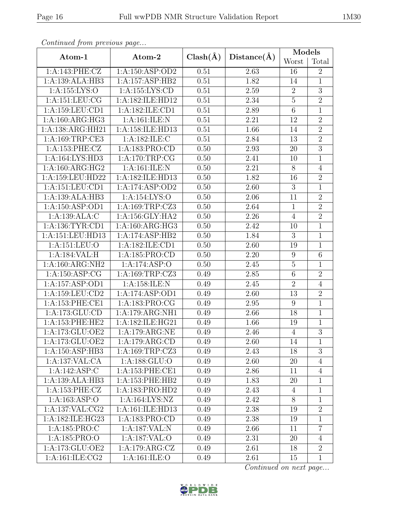| Continuati jibni protibus puga   |                                       |                   |                   | Models          |                  |  |
|----------------------------------|---------------------------------------|-------------------|-------------------|-----------------|------------------|--|
| Atom-1                           | $Clash(\AA)$<br>Distance(A)<br>Atom-2 |                   | Worst             | Total           |                  |  |
| 1:A:143:PHE:CZ                   | 1:A:150:ASP:OD2                       | $\overline{0.51}$ | 2.63              | 16              | $\overline{2}$   |  |
| 1:A:139:ALA:HB3                  | 1:A:157:ASP:HB2                       | 0.51              | 1.82              | 14              | $\mathbf{1}$     |  |
| 1:A:155:LYS:O                    | 1:A:155:LYS:CD                        | 0.51              | 2.59              | $\sqrt{2}$      | $\mathfrak{Z}$   |  |
| 1:A:151:LEU:CG                   | 1:A:182:ILE:HD12                      | 0.51              | 2.34              | $\overline{5}$  | $\overline{2}$   |  |
| $1: A: 159: LEU: \overline{CD1}$ | 1:A:182:ILE:CD1                       | 0.51              | 2.89              | $\overline{6}$  | $\mathbf{1}$     |  |
| 1: A:160: ARG:HG3                | 1:A:161:ILE:N                         | 0.51              | 2.21              | 12              | $\overline{2}$   |  |
| 1:A:138:ARG:HH21                 | 1:A:158:ILE:HD13                      | 0.51              | 1.66              | 14              | $\overline{2}$   |  |
| 1:A:169:TRP:CE3                  | 1:A:182:ILE:C                         | 0.51              | 2.84              | 13              | $\overline{2}$   |  |
| 1:A:153:PHE:CZ                   | 1:A:183:PRO:CD                        | 0.50              | 2.93              | $\overline{20}$ | $\overline{3}$   |  |
| 1:A:164:LYS:HD3                  | 1: A:170:TRP:CG                       | 0.50              | 2.41              | 10              | $\mathbf{1}$     |  |
| 1: A:160:ARG:HG2                 | 1:A:161:ILE:N                         | 0.50              | 2.21              | $8\,$           | $\overline{4}$   |  |
| 1:A:159:LEU:HD22                 | 1:A:182:ILE:HD13                      | 0.50              | 1.82              | 16              | $\overline{2}$   |  |
| 1:A:151:LEU:CD1                  | 1:A:174:ASP:OD2                       | 0.50              | 2.60              | $\overline{3}$  | $\mathbf{1}$     |  |
| 1:A:139:ALA:HB3                  | 1:A:154:LYS:O                         | 0.50              | 2.06              | 11              | $\sqrt{2}$       |  |
| 1:A:150:ASP:OD1                  | 1:A:169:TRP:CZ3                       | 0.50              | 2.64              | $\mathbf{1}$    | $\sqrt{2}$       |  |
| 1:A:139:ALA:C                    | 1:A:156:GLY:HA2                       | 0.50              | $\overline{2.26}$ | $\overline{4}$  | $\overline{2}$   |  |
| 1: A: 136: TYR: CD1              | 1:A:160:ARG:HG3                       |                   | 2.42              | 10              | $\mathbf{1}$     |  |
| 1:A:151:LEU:HD13                 | 1:A:174:ASP:HB2                       |                   | 1.84              | $\overline{3}$  | $\overline{1}$   |  |
| 1:A:151:LEU:O                    | 1:A:182:ILE:CD1                       |                   | 2.60              | 19              | $\mathbf{1}$     |  |
| 1:A:184:VAL:H                    | 1:A:185:PRO:CD                        | 0.50              | 2.20              | 9               | $\boldsymbol{6}$ |  |
| 1:A:160:ARG:NH2                  | 1:A:174:ASP:O                         | 0.50              | $\overline{2}.45$ | $\overline{5}$  | $\mathbf{1}$     |  |
| 1:A:150:ASP:CG                   | 1:A:169:TRP:CZ3                       | 0.49              | 2.85              | $\,6$           | $\sqrt{2}$       |  |
| 1:A:157:ASP:OD1                  | 1:A:158:ILE:N                         | 0.49              | 2.45              | $\overline{2}$  | $\overline{4}$   |  |
| 1:A:159:LEU:CD2                  | 1:A:174:ASP:OD1                       | 0.49              | 2.60              | 13              | $\sqrt{2}$       |  |
| 1: A: 153: PHE: CE1              | 1:A:183:PRO:CG                        | 0.49              | 2.95              | 9               | $\mathbf{1}$     |  |
| 1:A:173:GLU:CD                   | 1:A:179:ARG:NH1                       | 0.49              | 2.66              | 18              | $\mathbf{1}$     |  |
| 1:A:153:PHE:HE2                  | 1:A:182:ILE:HG21                      | 0.49              | 1.66              | 19              | $\mathbf{1}$     |  |
| 1:A:173:GLU:OE2                  | 1:A:179:ARG:NE                        | 0.49              | 2.46              | $\overline{4}$  | $\overline{3}$   |  |
| 1:A:173:GLU:OE2                  | 1:A:179:ARG:CD                        | 0.49              | 2.60              | 14              | 1                |  |
| 1:A:150:ASP:HB3                  | 1:A:169:TRP:CZ3                       | 0.49              | 2.43              | 18              | 3                |  |
| 1:A:137:VAL:CA                   | 1: A: 188: GLU:O                      | 0.49              | 2.60              | 20              | $\overline{4}$   |  |
| 1:A:142:ASP:C                    | 1: A: 153: PHE: CE1                   | 0.49              | 2.86              | 11              | 4                |  |
| 1:A:139:ALA:HB3                  | 1:A:153:PHE:HB2                       | 0.49              | 1.83              | 20              | $\mathbf{1}$     |  |
| 1:A:153:PHE:CZ                   | 1:A:183:PRO:HD2                       | 0.49              | 2.43              | $\overline{4}$  | $\mathbf{1}$     |  |
| 1:A:163:ASP:O                    | 1:A:164:LYS:NZ                        | 0.49              | 2.42              | 8               | $\mathbf{1}$     |  |
| 1: A: 137: VAL: CG2              | 1:A:161:ILE:HD13                      | 0.49              | 2.38              | 19              | $\overline{2}$   |  |
| 1:A:182:ILE:HG23                 | 1:A:183:PRO:CD                        | 0.49              | 2.38              | 19              | $\mathbf{1}$     |  |
| 1:A:185:PRO:C                    | 1:A:187:VAL:N                         | 0.49              | 2.66              | 11              | $\overline{7}$   |  |
| 1: A: 185: PRO: O                | 1:A:187:VAL:O                         | 0.49              | 2.31              | 20              | $\overline{4}$   |  |
| 1:A:173:GLU:OE2                  | 1:A:179:ARG:CZ                        | 0.49              | 2.61              | 18              | $\overline{2}$   |  |
| 1:A:161:ILE:CG2                  | 1:A:161:ILE:O                         | 0.49              | 2.61              | 15              | $\mathbf{1}$     |  |

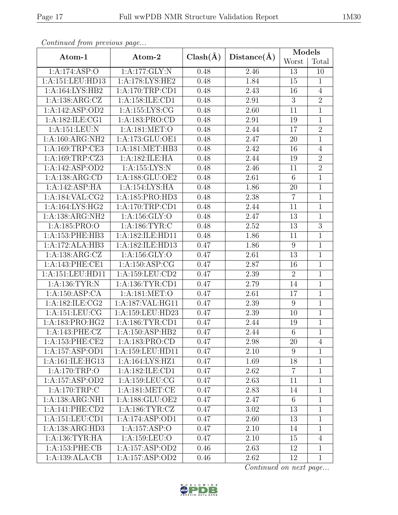| Atom-1              | Atom-2              | $Clash(\AA)$ | Distance(A) | Models         |                  |  |
|---------------------|---------------------|--------------|-------------|----------------|------------------|--|
|                     |                     |              |             | Worst          | Total            |  |
| 1:A:174:ASP:O       | 1:A:177:GLY:N       |              | 2.46        | 13             | 10               |  |
| 1:A:151:LEU:HD13    | 1:A:178:LYS:HE2     | 0.48         | 1.84        | 15             | $\mathbf{1}$     |  |
| 1:A:164:LYS:HB2     | 1: A:170:TRP:CD1    | 0.48         | 2.43        | 16             | $\overline{4}$   |  |
| 1:A:138:ARG:CZ      | 1:A:158:ILE:CD1     | 0.48         | 2.91        | 3              | $\overline{2}$   |  |
| 1:A:142:ASP:OD2     | 1:A:155:LYS:CG      | 0.48         | 2.60        | 11             | $\mathbf{1}$     |  |
| 1:A:182:ILE:CG1     | 1:A:183:PRO:CD      | 0.48         | 2.91        | 19             | $\mathbf{1}$     |  |
| 1:A:151:LEU:N       | 1:A:181:MET:O       | 0.48         | 2.44        | 17             | $\overline{2}$   |  |
| 1:A:160:ARG:NH2     | 1:A:173:GLU:OE1     | 0.48         | 2.47        | 20             | $\mathbf{1}$     |  |
| 1:A:169:TRP:CE3     | 1: A:181: MET:HB3   | 0.48         | 2.42        | 16             | $\overline{4}$   |  |
| 1:A:169:TRP:CZ3     | 1:A:182:ILE:HA      | 0.48         | 2.44        | 19             | $\overline{2}$   |  |
| 1:A:142:ASP:OD2     | 1:A:155:LYS:N       | 0.48         | 2.46        | 11             | $\overline{2}$   |  |
| 1:A:138:ARG:CD      | 1:A:188:GLU:OE2     | 0.48         | 2.61        | 6              | $\mathbf{1}$     |  |
| 1:A:142:ASP:HA      | 1:A:154:LYS:HA      | 0.48         | 1.86        | 20             | $\mathbf{1}$     |  |
| 1: A: 184: VAL: CG2 | 1:A:185:PRO:HD3     | 0.48         | 2.38        | $\overline{7}$ | $\mathbf{1}$     |  |
| 1:A:164:LYS:HG2     | 1: A:170:TRP:CD1    | 0.48         | 2.44        | 11             | $\mathbf{1}$     |  |
| 1:A:138:ARG:NH2     | 1:A:156:GLY:O       | 0.48         | 2.47        | 13             | $\mathbf{1}$     |  |
| 1:A:185:PRO:O       | 1: A: 186: TYR: C   | 0.48         | 2.52        | 13             | $\boldsymbol{3}$ |  |
| 1:A:153:PHE:HB3     | 1:A:182:ILE:HD11    | 0.48         | 1.86        | 11             | $\mathbf{1}$     |  |
| 1:A:172:ALA:HB3     | 1:A:182:ILE:HD13    | 0.47         | 1.86        | 9              | $\mathbf{1}$     |  |
| 1:A:138:ARG:CZ      | 1:A:156:GLY:O       |              | 2.61        | 13             | $\mathbf 1$      |  |
| 1:A:143:PHE:CE1     | 1: A:150: ASP:CG    | 0.47         | 2.87        | 16             | $\overline{1}$   |  |
| 1:A:151:LEU:HD11    | 1:A:159:LEU:CD2     | 0.47         | 2.39        | $\overline{2}$ | $\mathbf{1}$     |  |
| 1: A: 136: TYR: N   | 1:A:136:TYR:CD1     | 0.47         | 2.79        | 14             | $\mathbf{1}$     |  |
| 1:A:150:ASP:CA      | 1:A:181:MET:O       | 0.47         | 2.61        | 17             | $\mathbf{1}$     |  |
| 1:A:182:ILE:CG2     | 1:A:187:VAL:HG11    | 0.47         | 2.39        | $9\phantom{.}$ | $\mathbf{1}$     |  |
| 1:A:151:LEU:CG      | 1:A:159:LEU:HD23    | 0.47         | 2.39        | 10             | $\mathbf{1}$     |  |
| 1:A:183:PRO:HG2     | 1: A: 186: TYR: CD1 | 0.47         | 2.44        | 19             | $\mathbf{1}$     |  |
| 1:A:143:PHE:CZ      | 1: A: 150: ASP: HB2 | 0.47         | 2.44        | 6              | $\overline{1}$   |  |
| 1: A:153: PHE:CE2   | 1:A:183:PRO:CD      | 0.47         | 2.98        | 20             | 4                |  |
| 1:A:157:ASP:OD1     | 1:A:159:LEU:HD11    | 0.47         | 2.10        | 9              | $\mathbf{1}$     |  |
| 1:A:161:ILE:HG13    | 1:A:164:LYS:HZ1     | 0.47         | 1.69        | 18             | $\mathbf{1}$     |  |
| 1:A:170:TRP:O       | 1:A:182:ILE:CD1     | 0.47         | 2.62        | $\overline{7}$ | $\mathbf{1}$     |  |
| 1:A:157:ASP:OD2     | 1:A:159:LEU:CG      |              | 2.63        | 11             | $\mathbf{1}$     |  |
| 1: A:170:TRP: C     | 1: A:181: MET:CE    |              | 2.83        | 14             | $\mathbf{1}$     |  |
| 1:A:138:ARG:NH1     | 1:A:188:GLU:OE2     | 0.47         | 2.47        | 6              | $\mathbf{1}$     |  |
| 1:A:141:PHE:CD2     | 1: A: 186: TYR: CZ  | 0.47         | 3.02        | 13             | $\mathbf{1}$     |  |
| 1:A:151:LEU:CD1     | 1:A:174:ASP:OD1     | 0.47         | 2.60        | 13             | $\mathbf{1}$     |  |
| 1:A:138:ARG:HD3     | 1:A:157:ASP:O       | 0.47         | 2.10        | 14             | $\mathbf{1}$     |  |
| 1: A: 136: TYR: HA  | 1:A:159:LEU:O       | 0.47         | $2.10\,$    | 15             | $\overline{4}$   |  |
| 1:A:153:PHE:CB      | 1:A:157:ASP:OD2     | 0.46         | 2.63        | 12             | $\mathbf{1}$     |  |
| 1:A:139:ALA:CB      | 1:A:157:ASP:OD2     | 0.46         | 2.62        | 12             | $\mathbf{1}$     |  |

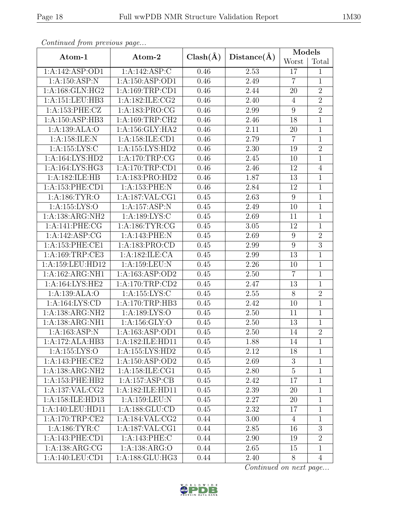| Continued from previous page |                              |              |             | Models           |                |  |
|------------------------------|------------------------------|--------------|-------------|------------------|----------------|--|
| Atom-1                       | Atom-2                       | $Clash(\AA)$ | Distance(A) | Worst            | Total          |  |
| 1:A:142:ASP:OD1              | 1:A:142:ASP:C                | 0.46         | 2.53        | 17               | $\mathbf 1$    |  |
| 1:A:150:ASP:N                | 1:A:150:ASP:OD1              | 0.46         | 2.49        | $\overline{7}$   | $\mathbf{1}$   |  |
| 1:A:168:GLN:HG2              | 1:A:169:TRP:CD1              | 0.46         | 2.44        | 20               | $\overline{2}$ |  |
| 1:A:151:LEU:HB3              | 1:A:182:ILE:CG2              | 0.46         | 2.40        | $\overline{4}$   | $\overline{2}$ |  |
| 1:A:153:PHE:CZ               | 1:A:183:PRO:CG               | 0.46         | 2.99        | 9                | $\overline{2}$ |  |
| 1:A:150:ASP:HB3              | 1: A:169:TRP:CH2             | 0.46         | 2.46        | 18               | $\mathbf{1}$   |  |
| 1:A:139:ALA:O                | 1:A:156:GLY:HA2              | 0.46         | 2.11        | 20               | $\mathbf{1}$   |  |
| 1:A:158:ILE:N                | 1:A:158:ILE:CD1              | 0.46         | 2.79        | $\overline{7}$   | 1              |  |
| 1: A: 155: LYS: C            | 1:A:155:LYS:HD2              | 0.46         | 2.30        | 19               | $\overline{2}$ |  |
| 1:A:164:LYS:HD2              | 1:A:170:TRP:CG               | 0.46         | 2.45        | 10               | $\mathbf{1}$   |  |
| 1: A: 164: LYS: HG3          | 1:A:170:TRP:CD1              | 0.46         | 2.46        | 12               | $\overline{4}$ |  |
| 1:A:182:ILE:HB               | 1:A:183:PRO:HD2              | 0.46         | 1.87        | 13               | $\mathbf{1}$   |  |
| 1:A:153:PHE:CD1              | 1:A:153:PHE:N                | 0.46         | 2.84        | 12               | $\mathbf{1}$   |  |
| 1:A:186:TYR:O                | 1:A:187:VAL:CG1              | 0.45         | 2.63        | 9                | $\mathbf{1}$   |  |
| 1:A:155:LYS:O                | $1:A:157:ASP:\overline{N}$   | 0.45         | 2.49        | 10               | $\mathbf{1}$   |  |
| 1:A:138:ARG:NH2              | 1:A:189:LYS:C                | 0.45         | 2.69        | 11               | $\overline{1}$ |  |
| 1:A:141:PHE:CG               | 1:A:186:TYR:CG               | 0.45         | 3.05        | 12               | 1              |  |
| 1:A:142:ASP:CG               | 1:A:143:PHE:N                | 0.45         | 2.69        | 9                | $\overline{2}$ |  |
| 1: A: 153: PHE: CE1          | 1:A:183:PRO:CD               | 0.45         | 2.99        | $\boldsymbol{9}$ | $\overline{3}$ |  |
| 1:A:169:TRP:CE3              | 1:A:182:ILE:CA               | 0.45         | 2.99        | 13               | $\mathbf{1}$   |  |
| 1:A:159:LEU:HD12             | 1:A:159:LEU:N                | 0.45         | 2.26        | 10               | $\mathbf{1}$   |  |
| 1:A:162:ARG:NH1              | 1:A:163:ASP:OD2              | 0.45         | 2.50        | $\overline{7}$   | $\mathbf{1}$   |  |
| 1:A:164:LYS:HE2              | 1: A:170:TRP:CD2             | 0.45         | 2.47        | 13               | 1              |  |
| 1:A:139:ALA:O                | 1:A:155:LYS:C                | 0.45         | 2.55        | $8\,$            | $\overline{2}$ |  |
| 1: A: 164: LYS: CD           | 1:A:170:TRP:HB3              | 0.45         | 2.42        | 10               | $\mathbf{1}$   |  |
| 1:A:138:ARG:NH2              | 1:A:189:LYS:O                | 0.45         | 2.50        | 11               | $\mathbf{1}$   |  |
| 1:A:138:ARG:NH1              | 1:A:156:GLY:O                | 0.45         | 2.50        | 13               | $\mathbf{1}$   |  |
| 1:A:163:ASP:N                | 1:A:163:ASP:OD1              | 0.45         | 2.50        | 14               | $\overline{2}$ |  |
| 1:A:172:ALA:HB3              | 1:A:182:ILE:HD11             | 0.45         | 1.88        | 14               | $\mathbf{1}$   |  |
| 1:A:155:LYS:O                | 1:A:155:LYS:HD2              | 0.45         | 2.12        | 18               | $\mathbf{1}$   |  |
| 1:A:143:PHE:CE2              | 1:A:150:ASP:OD2              | 0.45         | 2.69        | 3                | $\mathbf{1}$   |  |
| 1:A:138:ARG:NH2              | 1:A:158:ILE:CG1              | 0.45         | 2.80        | $\overline{5}$   | $\mathbf{1}$   |  |
| 1:A:153:PHE:HB2              | 1:A:157:ASP:CB               | 0.45         | 2.42        | 17               | $\mathbf{1}$   |  |
| 1:A:137:VAL:CG2              | 1:A:182:ILE:HD11             | 0.45         | 2.39        | 20               | $\mathbf{1}$   |  |
| 1:A:158:ILE:HD13             | 1: A: 159: LEU: N            | 0.45         | 2.27        | 20               | $\mathbf{1}$   |  |
| 1:A:140:LEU:HD11             | 1: A: 188: GLU: CD           | 0.45         | 2.32        | 17               | $\mathbf{1}$   |  |
| 1: A:170:TRP:CE2             | 1: A: 184: VAL: CG2          | 0.44         | 3.00        | $\overline{4}$   | $\mathbf{1}$   |  |
| 1: A: 186: TYR: C            | 1: A: 187: VAL: CG1          | 0.44         | 2.85        | 16               | 3              |  |
| 1:A:143:PHE:CD1              | 1:A:143:PHE:C                | 0.44         | 2.90        | 19               | $\overline{2}$ |  |
| 1: A: 138: ARG: CG           | 1: A: 138: ARG: O            | 0.44         | 2.65        | 15               | $\mathbf{1}$   |  |
| 1:A:140:LEU:CD1              | $1:A:188:GLU:H\overline{G3}$ | 0.44         | 2.40        | 8                | $\overline{4}$ |  |

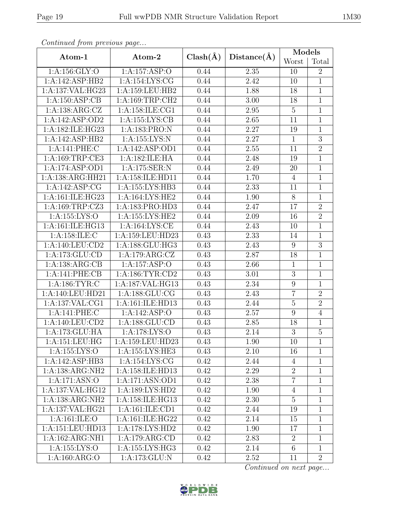| Continued from previous page |                     |              |                   |                |                |
|------------------------------|---------------------|--------------|-------------------|----------------|----------------|
| Atom-1                       | Atom-2              | $Clash(\AA)$ | Distance(A)       | Models         |                |
|                              |                     |              |                   | Worst          | Total          |
| 1: A: 156: GLY: O            | 1:A:157:ASP:O       | 0.44         | 2.35              | 10             | $\overline{2}$ |
| 1:A:142:ASP:HB2              | 1:A:154:LYS:CG      | 0.44         | 2.42              | 10             | 1              |
| 1:A:137:VAL:HG23             | 1:A:159:LEU:HB2     | 0.44         | 1.88              | 18             | $\mathbf{1}$   |
| 1:A:150:ASP:CB               | 1:A:169:TRP:CH2     | 0.44         | $\overline{3}.00$ | 18             | $\mathbf{1}$   |
| 1:A:138:ARG:CZ               | 1:A:158:ILE:CG1     | 0.44         | 2.95              | $\overline{5}$ | $\mathbf{1}$   |
| 1:A:142:ASP:OD2              | 1: A: 155: LYS: CB  | 0.44         | 2.65              | 11             | $\mathbf{1}$   |
| 1:A:182:ILE:HG23             | 1:A:183:PRO:N       | 0.44         | 2.27              | 19             | $\mathbf 1$    |
| 1:A:142:ASP:HB2              | 1:A:155:LYS:N       | 0.44         | 2.27              | $\mathbf{1}$   | 3              |
| 1:A:141:PHE:C                | 1:A:142:ASP:OD1     | 0.44         | 2.55              | 11             | $\sqrt{2}$     |
| 1:A:169:TRP:CE3              | 1:A:182:ILE:HA      | 0.44         | 2.48              | 19             | $\mathbf{1}$   |
| 1:A:174:ASP:OD1              | 1:A:175:SER:N       | 0.44         | 2.49              | 20             | $\mathbf{1}$   |
| 1:A:138:ARG:HH21             | 1:A:158:ILE:HD11    | 0.44         | 1.70              | $\overline{4}$ | $\overline{1}$ |
| 1:A:142:ASP:CG               | 1:A:155:LYS:HB3     | 0.44         | 2.33              | 11             | $\mathbf 1$    |
| 1:A:161:ILE:HG23             | 1: A:164: LYS: HE2  | 0.44         | 1.90              | $\overline{8}$ | $\mathbf{1}$   |
| 1:A:169:TRP:CZ3              | 1:A:183:PRO:HD3     | 0.44         | 2.47              | 17             | $\overline{2}$ |
| 1:A:155:LYS:O                | 1: A: 155: LYS: HE2 | 0.44         | 2.09              | 16             | $\overline{2}$ |
| 1:A:161:ILE:HG13             | 1:A:164:LYS:CE      | 0.44         | 2.43              | 10             | $\mathbf{1}$   |
| 1: A: 158: ILE:C             | 1:A:159:LEU:HD23    |              | 2.33              | 14             | $\mathbf{1}$   |
| $1:$ A:140:LEU:CD2           | 1:A:188:GLU:HG3     |              | 2.43              | 9              | $\overline{3}$ |
| 1:A:173:GLU:CD               | 1:A:179:ARG:CZ      | 0.43         | 2.87              | 18             | $\mathbf{1}$   |
| 1:A:138:ARG:CB               | 1:A:157:ASP:O       | 0.43         | 2.66              | $\mathbf 1$    | $\mathbf{1}$   |
| 1:A:141:PHE:CB               | 1: A: 186: TYR: CD2 | 0.43         | 3.01              | 3              | 1              |
| 1: A: 186: TYR: C            | 1:A:187:VAL:HG13    | 0.43         | 2.34              | 9              | $\mathbf{1}$   |
| 1:A:140:LEU:HD21             | 1:A:188:GLU:CG      | 0.43         | 2.43              | $\overline{7}$ | $\overline{2}$ |
| 1:A:137:VAL:CG1              | 1:A:161:ILE:HD13    | 0.43         | $\overline{2}.44$ | $\overline{5}$ | $\overline{2}$ |
| 1:A:141:PHE:C                | 1:A:142:ASP:O       | 0.43         | 2.57              | 9              | $\overline{4}$ |
| 1:A:140:LEU:CD2              | 1:A:188:GLU:CD      | 0.43         | 2.85              | 18             | $\,1$          |
| 1:A:173:GLU:HA               | 1: A:178: LYS:O     | 0.43         | $\overline{2.14}$ | 3              | 5              |
| 1:A:151:LEU:HG               | 1:A:159:LEU:HD23    | 0.43         | 1.90              | 10             | $\mathbf{1}$   |
| 1: A: 155: LYS: O            | 1:A:155:LYS:HE3     | 0.43         | 2.10              | 16             | $\mathbf{1}$   |
| 1:A:142:ASP:HB3              | 1:A:154:LYS:CG      | 0.42         | 2.44              | $\overline{4}$ | $\mathbf{1}$   |
| 1:A:138:ARG:NH2              | 1:A:158:ILE:HD13    | 0.42         | 2.29              | $\overline{2}$ | 1              |
| 1:A:171:ASN:O                | 1:A:171:ASN:OD1     | 0.42         | 2.38              | $\overline{7}$ | $\mathbf{1}$   |
| 1:A:137:VAL:HG12             | 1: A: 189: LYS: HD2 | 0.42         | 1.90              | $\overline{4}$ | 1              |
| 1:A:138:ARG:NH2              | 1:A:158:ILE:HG13    | 0.42         | 2.30              | $\overline{5}$ | $\mathbf{1}$   |
| 1:A:137:VAL:HG21             | 1:A:161:ILE:CD1     | 0.42         | 2.44              | 19             | 1              |
| 1: A:161: ILE: O             | 1: A:161: ILE: HG22 | 0.42         | 2.14              | 15             | $\mathbf{1}$   |
| 1:A:151:LEU:HD13             | 1: A:178: LYS: HD2  | 0.42         | 1.90              | 17             | $\mathbf{1}$   |
| 1:A:162:ARG:NH1              | 1:A:179:ARG:CD      | 0.42         | 2.83              | $\overline{2}$ | $\mathbf{1}$   |
| 1:A:155:LYS:O                | 1:A:155:LYS:HG3     | 0.42         | $2.14\,$          | $\overline{6}$ | $\mathbf{1}$   |

Continued on next page...



1:A:160:ARG:O 1:A:173:GLU:N 0.42 2.52 11 2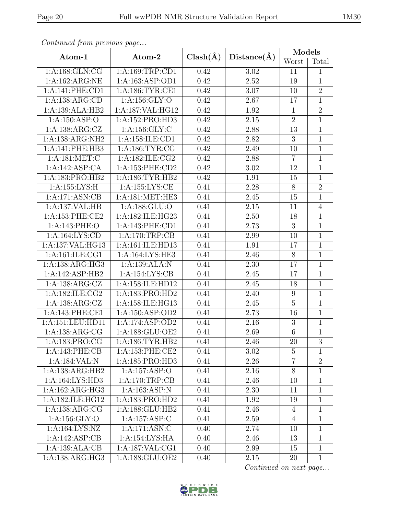| Continued from previous page |                                      |              |             | Models           |                |
|------------------------------|--------------------------------------|--------------|-------------|------------------|----------------|
| $Atom-1$                     | Atom-2                               | $Clash(\AA)$ | Distance(A) | Worst            | Total          |
| 1: A: 168: GLN: CG           | 1:A:169:TRP:CD1                      | 0.42         | 3.02        | 11               | 1              |
| 1:A:162:ARG:NE               | 1:A:163:ASP:OD1                      | 0.42         | 2.52        | 19               | $\overline{1}$ |
| 1:A:141:PHE:CD1              | 1: A:186: TYR: CE1                   | 0.42         | 3.07        | 10               | $\overline{2}$ |
| 1:A:138:ARG:CD               | 1:A:156:GLY:O                        | 0.42         | 2.67        | 17               | $\overline{1}$ |
| 1:A:139:ALA:HB2              | 1:A:187:VAL:HG12                     | 0.42         | 1.92        | $\mathbf{1}$     | $\overline{2}$ |
| 1:A:150:ASP:O                | 1:A:152:PRO:HD3                      | 0.42         | $2.15\,$    | $\overline{2}$   | $\overline{1}$ |
| 1:A:138:ARG:CZ               | 1: A: 156: GLY: C                    | 0.42         | 2.88        | 13               | $\mathbf{1}$   |
| 1:A:138:ARG:NH2              | 1:A:158:ILE:CD1                      | 0.42         | 2.82        | 3                | $\mathbf 1$    |
| 1:A:141:PHE:HB3              | 1: A: 186: TYR: CG                   | 0.42         | 2.49        | 10               | $\overline{1}$ |
| 1:A:181:MET:C                | 1:A:182:ILE:CG2                      | 0.42         | 2.88        | $\overline{7}$   | $\mathbf{1}$   |
| 1:A:142:ASP:CA               | 1:A:153:PHE:CD2                      | 0.42         | $3.02\,$    | 12               | $\overline{1}$ |
| 1:A:183:PRO:HB2              | 1:A:186:TYR:HB2                      | 0.42         | 1.91        | 15               | $\overline{1}$ |
| 1:A:155:LYS:H                | 1:A:155:LYS:CE                       | 0.41         | 2.28        | 8                | $\overline{2}$ |
| 1:A:171:ASN:CB               | 1: A:181: MET:HE3                    | 0.41         | 2.45        | 15               | $\mathbf{1}$   |
| 1:A:137:VAL:HB               | 1:A:188:GLU:O                        | 0.41         | $2.15\,$    | 11               | $\overline{4}$ |
| 1: A: 153: PHE: CE2          | 1:A:182:ILE:HG23                     | 0.41         | $2.50\,$    | 18               | $\mathbf{1}$   |
| 1:A:143:PHE:O                | 1: A:143: PHE:CD1                    | 0.41         | 2.73        | $\mathbf{3}$     | $\mathbf{1}$   |
| 1:A:164:LYS:CD               | 1:A:170:TRP:CB                       | 0.41         | 2.99        | 10               | $\mathbf{1}$   |
| 1:A:137:VAL:HG13             | 1:A:161:ILE:HD13                     | 0.41         | 1.91        | 17               | $\overline{1}$ |
| 1:A:161:ILE:CG1              | 1:A:164:LYS:HE3                      | 0.41         | 2.46        | $8\,$            | $\overline{1}$ |
| 1:A:138:ARG:HG3              | 1:A:139:ALA:N                        | 0.41         | 2.30        | 17               | $\overline{1}$ |
| 1:A:142:ASP:HB2              | 1:A:154:LYS:CB                       | 0.41         | 2.45        | 17               | $\mathbf{1}$   |
| 1:A:138:ARG:CZ               | $1:A:158:\overline{\text{ILE:HD12}}$ | 0.41         | 2.45        | 18               | $\mathbf{1}$   |
| 1:A:182:ILE:CG2              | 1:A:183:PRO:HD2                      | 0.41         | 2.40        | $\boldsymbol{9}$ | $\overline{1}$ |
| 1: A: 138: ARG: CZ           | 1:A:158:ILE:HG13                     | 0.41         | 2.45        | $\overline{5}$   | $\mathbf{1}$   |
| 1:A:143:PHE:CE1              | 1:A:150:ASP:OD2                      | 0.41         | 2.73        | 16               | $\mathbf{1}$   |
| 1:A:151:LEU:HD11             | 1:A:174:ASP:OD2                      | 0.41         | 2.16        | $\boldsymbol{3}$ | $\mathbf{1}$   |
| 1: A: 138: ARG: CG           | 1:A:188:GLU:OE2                      | 0.41         | 2.69        | $\overline{6}$   | $\overline{1}$ |
| 1:A:183:PRO:CG               | 1: A:186: TYR: HB2                   | 0.41         | 2.46        | 20               | 3              |
| 1:A:143:PHE:CB               | 1:A:153:PHE:CE2                      | 0.41         | 3.02        | $\overline{5}$   | $\mathbf{1}$   |
| 1:A:184:VAL:N                | 1:A:185:PRO:HD3                      | 0.41         | 2.26        | $\overline{7}$   | $\overline{2}$ |
| 1:A:138:ARG:HB2              | 1:A:157:ASP:O                        | 0.41         | 2.16        | $8\,$            | $\mathbf{1}$   |
| 1:A:164:LYS:HD3              | 1: A:170:TRP:CB                      | 0.41         | 2.46        | 10               | $\mathbf{1}$   |
| 1:A:162:ARG:HG3              | 1:A:163:ASP:N                        | 0.41         | 2.30        | 11               | $\mathbf{1}$   |
| 1:A:182:ILE:HG12             | 1:A:183:PRO:HD2                      | 0.41         | 1.92        | 19               | $\mathbf{1}$   |
| 1:A:138:ARG:CG               | 1:A:188:GLU:HB2                      | 0.41         | 2.46        | $\overline{4}$   | $\mathbf{1}$   |
| 1:A:156:GLY:O                | 1:A:157:ASP:C                        | 0.41         | 2.59        | 4                | 1              |
| $1:A:164:LYS:\overline{NZ}$  | 1:A:171:ASN:C                        | 0.40         | 2.74        | 10               | $\mathbf{1}$   |
| 1:A:142:ASP:CB               | 1:A:154:LYS:HA                       | 0.40         | 2.46        | 13               | $\mathbf{1}$   |
| 1:A:139:ALA:CB               | 1:A:187:VAL:CG1                      | 0.40         | 2.99        | 15               | $\overline{1}$ |
| 1:A:138:ARG:HG3              | 1:A:188:GLU:OE2                      | 0.40         | 2.15        | 20               | $\mathbf{1}$   |

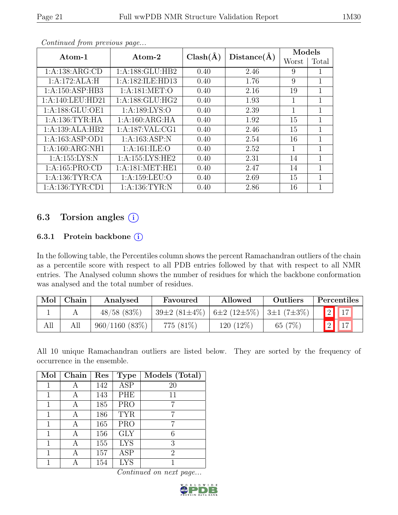|                     |                     |              |             | Models |       |  |
|---------------------|---------------------|--------------|-------------|--------|-------|--|
| Atom-1              | Atom-2              | $Clash(\AA)$ | Distance(A) | Worst  | Total |  |
| 1:A:138:ARG:CD      | 1: A: 188: GLU: HB2 | 0.40         | 2.46        | 9      |       |  |
| 1:A:172:ALA:H       | 1:A:182:ILE:HD13    | 0.40         | 1.76        | 9      | 1     |  |
| 1:A:150:ASP:HB3     | 1: A:181: MET:O     | 0.40         | 2.16        | 19     | 1     |  |
| 1:A:140:LEU:HD21    | 1: A: 188: GLU: HG2 | 0.40         | 1.93        | 1      | 1     |  |
| 1:A:188:GLU:OE1     | 1: A: 189: LYS: O   | 0.40         | 2.39        | 1      | 1     |  |
| 1: A: 136: TYR: HA  | 1:A:160:ARG:HA      | 0.40         | 1.92        | 15     | 1     |  |
| 1:A:139:ALA:HB2     | 1: A: 187: VAL: CG1 | 0.40         | 2.46        | 15     | 1     |  |
| 1: A: 163: ASP: OD1 | 1:A:163:ASP:N       | 0.40         | 2.54        | 16     | 1     |  |
| 1:A:160:ARG:NH1     | 1: A:161: ILE: O    | 0.40         | 2.52        | 1      | 1     |  |
| 1:A:155:LYS:N       | 1:A:155:LYS:HE2     | 0.40         | 2.31        | 14     | 1     |  |
| 1:A:165:PRO:CD      | 1: A:181: MET:HE1   | 0.40         | 2.47        | 14     | 1     |  |
| 1: A: 136: TYR: CA  | 1:A:159:LEU:O       | 0.40         | 2.69        | 15     |       |  |
| 1: A: 136: TYR: CD1 | 1:A:136:TYR:N       | 0.40         | 2.86        | 16     |       |  |

## 6.3 Torsion angles  $(i)$

#### 6.3.1 Protein backbone ①

In the following table, the Percentiles column shows the percent Ramachandran outliers of the chain as a percentile score with respect to all PDB entries followed by that with respect to all NMR entries. The Analysed column shows the number of residues for which the backbone conformation was analysed and the total number of residues.

| Mol | Chain | Analysed            | Favoured           | Allowed                               | <b>Outliers</b>  | Percentiles              |  |
|-----|-------|---------------------|--------------------|---------------------------------------|------------------|--------------------------|--|
|     |       | $48/58$ (83\%)      | $39\pm2(81\pm4\%)$ | $\left  6 \pm 2 (12 \pm 5\%) \right $ | $3\pm1(7\pm3\%)$ | $\boxed{2}$ $\boxed{17}$ |  |
| All |       | $960/1160$ $(83\%)$ | 775 (81\%)         | 120 (12\%)                            | 65 $(7%)$        | $\boxed{2}$ $\boxed{17}$ |  |

All 10 unique Ramachandran outliers are listed below. They are sorted by the frequency of occurrence in the ensemble.

| Mol | Chain | Res | <b>Type</b> | Models (Total) |
|-----|-------|-----|-------------|----------------|
| 1   | А     | 142 | <b>ASP</b>  | 20             |
|     | А     | 143 | PHE         | 11             |
| 1   |       | 185 | <b>PRO</b>  |                |
| 1   | А     | 186 | <b>TYR</b>  | 7              |
| 1   | А     | 165 | <b>PRO</b>  |                |
| 1   |       | 156 | GLY         | 6              |
| 1   | А     | 155 | <b>LYS</b>  | 3              |
| 1   |       | 157 | <b>ASP</b>  | $\overline{2}$ |
|     |       | 154 | <b>LYS</b>  |                |

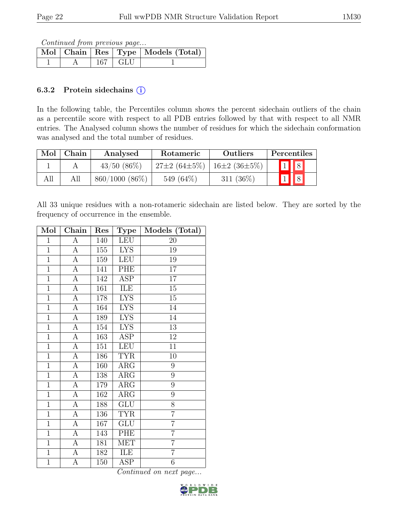Continued from previous page...

|  |             | Mol   Chain   Res   Type   Models (Total) |
|--|-------------|-------------------------------------------|
|  | $167 + GLU$ |                                           |

#### 6.3.2 Protein sidechains  $(i)$

In the following table, the Percentiles column shows the percent sidechain outliers of the chain as a percentile score with respect to all PDB entries followed by that with respect to all NMR entries. The Analysed column shows the number of residues for which the sidechain conformation was analysed and the total number of residues.

| $\operatorname{Mol}$ | Chain | Analysed         | Rotameric          | <b>Outliers</b>    | Percentiles                         |
|----------------------|-------|------------------|--------------------|--------------------|-------------------------------------|
|                      |       | $43/50(86\%)$    | $27\pm2(64\pm5\%)$ | $16\pm2(36\pm5\%)$ | 1 8                                 |
| All                  | All   | $860/1000(86\%)$ | 549 (64%)          | $311 \ (36\%)$     | $\vert\vert 8 \vert$<br>$\boxed{1}$ |

All 33 unique residues with a non-rotameric sidechain are listed below. They are sorted by the frequency of occurrence in the ensemble.

| Mol            | Chain                 | Res            | <b>Type</b>             | Models (Total)   |
|----------------|-----------------------|----------------|-------------------------|------------------|
| $\mathbf{1}$   | $\overline{A}$        | 140            | <b>LEU</b>              | 20               |
| $\overline{1}$ | $\boldsymbol{A}$      | $155\,$        | <b>LYS</b>              | 19               |
| $\overline{1}$ | $\overline{A}$        | 159            | <b>LEU</b>              | $19\,$           |
| $\overline{1}$ | $\overline{A}$        | 141            | PHE                     | $\overline{17}$  |
| $\overline{1}$ | $\overline{A}$        | 142            | ASP                     | 17               |
| $\overline{1}$ | $\boldsymbol{A}$      | 161            | ILE                     | 15               |
| $\overline{1}$ | $\overline{A}$        | 178            | <b>LYS</b>              | $\overline{15}$  |
| $\overline{1}$ | $\boldsymbol{A}$      | 164            | <b>LYS</b>              | 14               |
| $\overline{1}$ | $\overline{A}$        | 189            | $\overline{\text{LYS}}$ | $\overline{1}4$  |
| $\mathbf{1}$   | $\boldsymbol{\rm{A}}$ | 154            | <b>LYS</b>              | $13\,$           |
| $\overline{1}$ | $\overline{A}$        | 163            | ASP                     | 12               |
| $\overline{1}$ | $\boldsymbol{A}$      | 151            | <b>LEU</b>              | 11               |
| $\overline{1}$ | $\overline{A}$        | 186            | <b>TYR</b>              | $10\,$           |
| $\overline{1}$ | $\overline{A}$        | 160            | $\rm{ARG}$              | 9                |
| $\overline{1}$ | $\overline{A}$        | 138            | $\rm{ARG}$              | 9                |
| $\overline{1}$ | $\overline{A}$        | 179            | $\rm{ARG}$              | 9                |
| $\overline{1}$ | $\overline{A}$        | 162            | $\rm{ARG}$              | $\boldsymbol{9}$ |
| $\overline{1}$ | $\boldsymbol{A}$      | 188            | <b>GLU</b>              | 8                |
| $\overline{1}$ | $\overline{A}$        | 136            | <b>TYR</b>              | $\overline{7}$   |
| $\overline{1}$ | $\boldsymbol{A}$      | 167            | ${\rm GLU}$             | $\overline{7}$   |
| $\overline{1}$ | $\overline{A}$        | 143            | PHE                     | $\overline{7}$   |
| $\overline{1}$ | $\boldsymbol{A}$      | 181            | MET                     | $\overline{7}$   |
| $\overline{1}$ | $\overline{A}$        | <sup>182</sup> | ILE                     | $\overline{7}$   |
| $\overline{1}$ | А                     | 150            | ${\rm ASP}$             | $\sqrt{6}$       |

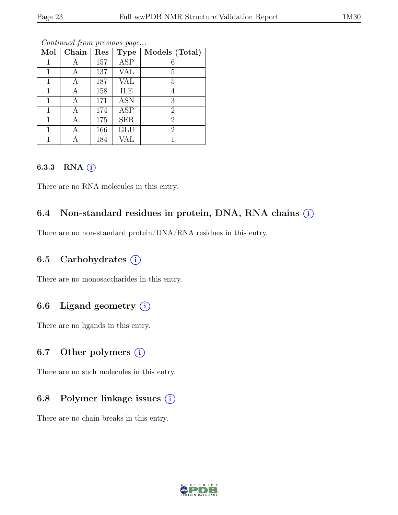| Mol | Chain | Res | <b>Type</b> | Models (Total) |
|-----|-------|-----|-------------|----------------|
|     |       |     | <b>ASP</b>  |                |
|     |       | 157 |             | 6              |
| 1   | А     | 137 | VAL         | 5              |
| 1   | А     | 187 | VAL         | 5              |
| 1   | А     | 158 | ILE         |                |
| 1   | А     | 171 | <b>ASN</b>  | 3              |
| 1   | А     | 174 | <b>ASP</b>  | $\overline{2}$ |
| 1   | А     | 175 | <b>SER</b>  | $\overline{2}$ |
|     |       | 166 | <b>GLU</b>  | $\overline{2}$ |
|     |       | 184 | VAL         |                |

Continued from previous page...

#### 6.3.3 RNA  $(i)$

There are no RNA molecules in this entry.

## 6.4 Non-standard residues in protein, DNA, RNA chains  $(i)$

There are no non-standard protein/DNA/RNA residues in this entry.

### 6.5 Carbohydrates  $(i)$

There are no monosaccharides in this entry.

### 6.6 Ligand geometry  $(i)$

There are no ligands in this entry.

## 6.7 Other polymers  $(i)$

There are no such molecules in this entry.

### 6.8 Polymer linkage issues  $(i)$

There are no chain breaks in this entry.